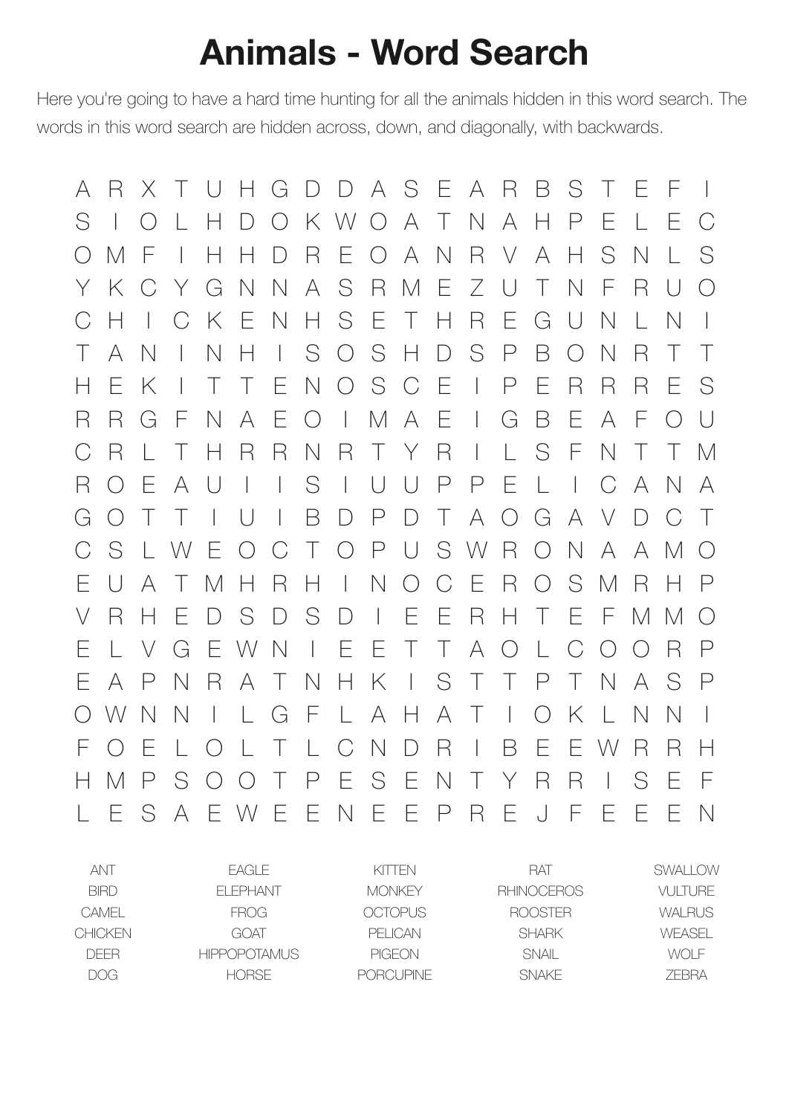## **Animals - Word Search**

Here you're going to have a hard time hunting for all the animals hidden in this word search. The words in this word search are hidden across, down, and diagonally, with backwards.

A R X T U H G D D A S E A R B S T E F I S I O L H D O K W O A T N A H P E L E C O M F I H H D R E O A N R V A H S N L S Y K C Y G N N A S R M E Z U T N F R U O C H I C K E N H S E T H R E G U N L N I T A N I N H I S O S H D S P B O N R T T H E K I T T E N O S C E I P E R R R E S R R G F N A E O I M A E I G B E A F O U C R L T H R R N R T Y R I L S F N T T M R O E A U I I S I U U P P E L I C A N A G O T T I U I B D P D T A O G A V D C T C S L W E O C T O P U S W R O N A A M O E U A T M H R H I N O C E R O S M R H P V R H E D S D S D I E E R H T E F M M O E L V G E W N I E E T T A O L C O O R P E A P N R A T N H K I S T T P T N A S P O W N N I L G F L A H A T I O K L N N I F O E L O L T L C N D R I B E E W R R H H M P S O O T P E S E N T Y R R I S E F L E S A E W E E N E E P R E J F E E E N

| ANT            | FAGI F              | KITTEN         | <b>RAT</b>        | SWAI LOW      |
|----------------|---------------------|----------------|-------------------|---------------|
| <b>BIRD</b>    | FI FPHANT           | <b>MONKEY</b>  | <b>RHINOCEROS</b> | VULTURE       |
| CAMEL          | <b>FROG</b>         | <b>OCTOPUS</b> | <b>ROOSTER</b>    | <b>WALRUS</b> |
| <b>CHICKEN</b> | GOAT                | PFI ICAN       | <b>SHARK</b>      | WFASFI        |
| <b>DFFR</b>    | <b>HIPPOPOTAMUS</b> | <b>PIGEON</b>  | SNAIL             | WOLE          |
| <b>DOG</b>     | <b>HORSE</b>        | PORCLIPINE     | <b>SNAKE</b>      | <b>7FRRA</b>  |